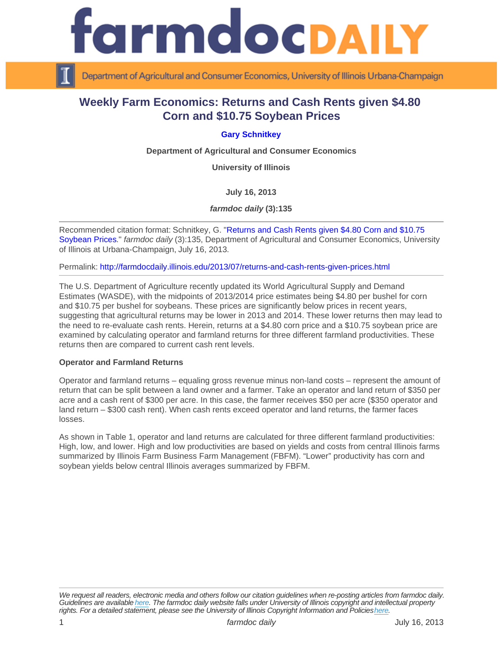# Weekly Farm Economics: Returns and Cash Rents given \$4.80 Corn and \$10.75 Soybean Prices

## [Gary Schnitkey](http://www.farmdoc.illinois.edu/schnitkey)

Department of Agricultural and Consumer Economics

University of Illinois

July 16, 2013

farmdoc daily (3):135

Recommended citation format: Schnitkey, G. "[Returns and Cash Rents given \\$4.80 Corn and \\$10.75](http://farmdocdaily.illinois.edu/2013/07/returns-and-cash-rents-given-prices.html)  [Soybean Prices.](http://farmdocdaily.illinois.edu/2013/07/returns-and-cash-rents-given-prices.html)" farmdoc daily (3):135, Department of Agricultural and Consumer Economics, University of Illinois at Urbana-Champaign, July 16, 2013.

Permalink:<http://farmdocdaily.illinois.edu/2013/07/returns-and-cash-rents-given-prices.html>

The U.S. Department of Agriculture recently updated its World Agricultural Supply and Demand Estimates (WASDE), with the midpoints of 2013/2014 price estimates being \$4.80 per bushel for corn and \$10.75 per bushel for soybeans. These prices are significantly below prices in recent years, suggesting that agricultural returns may be lower in 2013 and 2014. These lower returns then may lead to the need to re-evaluate cash rents. Herein, returns at a \$4.80 corn price and a \$10.75 soybean price are examined by calculating operator and farmland returns for three different farmland productivities. These returns then are compared to current cash rent levels.

#### Operator and Farmland Returns

Operator and farmland returns – equaling gross revenue minus non-land costs – represent the amount of return that can be split between a land owner and a farmer. Take an operator and land return of \$350 per acre and a cash rent of \$300 per acre. In this case, the farmer receives \$50 per acre (\$350 operator and land return – \$300 cash rent). When cash rents exceed operator and land returns, the farmer faces losses.

As shown in Table 1, operator and land returns are calculated for three different farmland productivities: High, low, and lower. High and low productivities are based on yields and costs from central Illinois farms summarized by Illinois Farm Business Farm Management (FBFM). "Lower" productivity has corn and soybean yields below central Illinois averages summarized by FBFM.

We request all readers, electronic media and others follow our citation guidelines when re-posting articles from farmdoc daily. Guidelines are available [here](http://farmdocdaily.illinois.edu/citationguide.html). The farmdoc daily website falls under University of Illinois copyright and intellectual property rights. For a detailed statement, please see the University of Illinois Copyright Information and Policies [here.](https://techservices.illinois.edu/office-cio)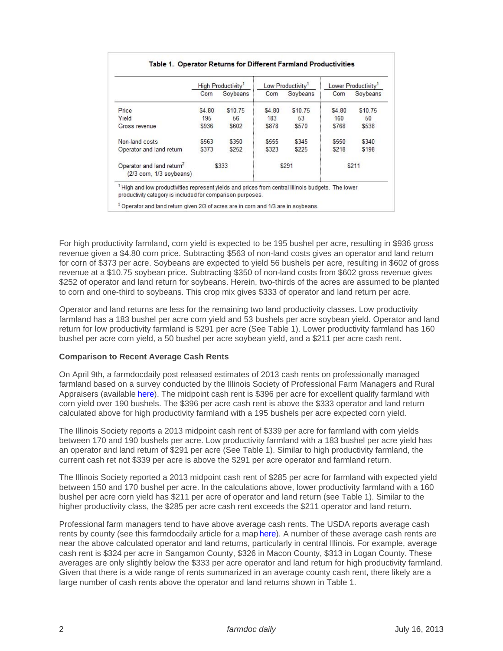For high productivity farmland, corn yield is expected to be 195 bushel per acre, resulting in \$936 gross revenue given a \$4.80 corn price. Subtracting \$563 of non-land costs gives an operator and land return for corn of \$373 per acre. Soybeans are expected to yield 56 bushels per acre, resulting in \$602 of gross revenue at a \$10.75 soybean price. Subtracting \$350 of non-land costs from \$602 gross revenue gives \$252 of operator and land return for soybeans. Herein, two-thirds of the acres are assumed to be planted to corn and one-third to soybeans. This crop mix gives \$333 of operator and land return per acre.

Operator and land returns are less for the remaining two land productivity classes. Low productivity farmland has a 183 bushel per acre corn yield and 53 bushels per acre soybean yield. Operator and land return for low productivity farmland is \$291 per acre (See Table 1). Lower productivity farmland has 160 bushel per acre corn yield, a 50 bushel per acre soybean yield, and a \$211 per acre cash rent.

### Comparison to Recent Average Cash Rents

On April 9th, a farmdocdaily post released estimates of 2013 cash rents on professionally managed farmland based on a survey conducted by the Illinois Society of Professional Farm Managers and Rural Appraisers (available [here\)](http://farmdocdaily.illinois.edu/2013/04/2013-cash-rents-managed-illinois.html). The midpoint cash rent is \$396 per acre for excellent qualify farmland with corn yield over 190 bushels. The \$396 per acre cash rent is above the \$333 operator and land return calculated above for high productivity farmland with a 195 bushels per acre expected corn yield.

The Illinois Society reports a 2013 midpoint cash rent of \$339 per acre for farmland with corn yields between 170 and 190 bushels per acre. Low productivity farmland with a 183 bushel per acre yield has an operator and land return of \$291 per acre (See Table 1). Similar to high productivity farmland, the current cash ret not \$339 per acre is above the \$291 per acre operator and farmland return.

The Illinois Society reported a 2013 midpoint cash rent of \$285 per acre for farmland with expected yield between 150 and 170 bushel per acre. In the calculations above, lower productivity farmland with a 160 bushel per acre corn yield has \$211 per acre of operator and land return (see Table 1). Similar to the higher productivity class, the \$285 per acre cash rent exceeds the \$211 operator and land return.

Professional farm managers tend to have above average cash rents. The USDA reports average cash rents by county (see this farmdocdaily article for a map [here](http://farmdocdaily.illinois.edu/2012/09/cash-rents-in-2012-and-2013.html)). A number of these average cash rents are near the above calculated operator and land returns, particularly in central Illinois. For example, average cash rent is \$324 per acre in Sangamon County, \$326 in Macon County, \$313 in Logan County. These averages are only slightly below the \$333 per acre operator and land return for high productivity farmland. Given that there is a wide range of rents summarized in an average county cash rent, there likely are a large number of cash rents above the operator and land returns shown in Table 1.